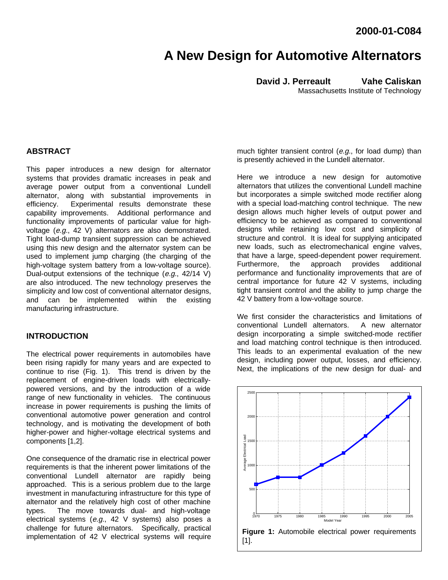# **A New Design for Automotive Alternators**

**David J. Perreault Vahe Caliskan** Massachusetts Institute of Technology

# **ABSTRACT**

This paper introduces a new design for alternator systems that provides dramatic increases in peak and average power output from a conventional Lundell alternator, along with substantial improvements in efficiency. Experimental results demonstrate these capability improvements. Additional performance and functionality improvements of particular value for highvoltage (e.g., 42 V) alternators are also demonstrated. Tight load-dump transient suppression can be achieved using this new design and the alternator system can be used to implement jump charging (the charging of the high-voltage system battery from a low-voltage source). Dual-output extensions of the technique  $(e.g., 42/14 V)$ are also introduced. The new technology preserves the simplicity and low cost of conventional alternator designs, and can be implemented within the existing manufacturing infrastructure.

## **INTRODUCTION**

The electrical power requirements in automobiles have been rising rapidly for many years and are expected to continue to rise (Fig. 1). This trend is driven by the replacement of engine-driven loads with electricallypowered versions, and by the introduction of a wide range of new functionality in vehicles. The continuous increase in power requirements is pushing the limits of conventional automotive power generation and control technology, and is motivating the development of both higher-power and higher-voltage electrical systems and components [1,2].

One consequence of the dramatic rise in electrical power requirements is that the inherent power limitations of the conventional Lundell alternator are rapidly being approached. This is a serious problem due to the large investment in manufacturing infrastructure for this type of alternator and the relatively high cost of other machine types. The move towards dual- and high-voltage electrical systems (e.g., 42 V systems) also poses a challenge for future alternators. Specifically, practical implementation of 42 V electrical systems will require

much tighter transient control (e.g., for load dump) than is presently achieved in the Lundell alternator.

Here we introduce a new design for automotive alternators that utilizes the conventional Lundell machine but incorporates a simple switched mode rectifier along with a special load-matching control technique. The new design allows much higher levels of output power and efficiency to be achieved as compared to conventional designs while retaining low cost and simplicity of structure and control. It is ideal for supplying anticipated new loads, such as electromechanical engine valves, that have a large, speed-dependent power requirement. Furthermore, the approach provides additional performance and functionality improvements that are of central importance for future 42 V systems, including tight transient control and the ability to jump charge the 42 V battery from a low-voltage source.

We first consider the characteristics and limitations of conventional Lundell alternators. A new alternator design incorporating a simple switched-mode rectifier and load matching control technique is then introduced. This leads to an experimental evaluation of the new design, including power output, losses, and efficiency. Next, the implications of the new design for dual- and

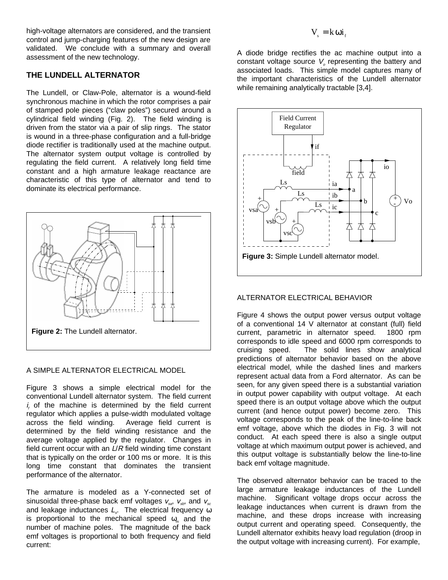high-voltage alternators are considered, and the transient control and jump-charging features of the new design are validated. We conclude with a summary and overall assessment of the new technology.

# **THE LUNDELL ALTERNATOR**

The Lundell, or Claw-Pole, alternator is a wound-field synchronous machine in which the rotor comprises a pair of stamped pole pieces ("claw poles") secured around a cylindrical field winding (Fig. 2). The field winding is driven from the stator via a pair of slip rings. The stator is wound in a three-phase configuration and a full-bridge diode rectifier is traditionally used at the machine output. The alternator system output voltage is controlled by regulating the field current. A relatively long field time constant and a high armature leakage reactance are characteristic of this type of alternator and tend to dominate its electrical performance.



# A SIMPLE ALTERNATOR ELECTRICAL MODEL

Figure 3 shows a simple electrical model for the conventional Lundell alternator system. The field current  $i<sub>f</sub>$  of the machine is determined by the field current regulator which applies a pulse-width modulated voltage across the field winding. Average field current is determined by the field winding resistance and the average voltage applied by the regulator. Changes in field current occur with an  $L/R$  field winding time constant that is typically on the order or 100 ms or more. It is this long time constant that dominates the transient performance of the alternator.

The armature is modeled as a Y-connected set of sinusoidal three-phase back emf voltages  $v_{ss}$ ,  $v_{ss}$ , and  $v_{ss}$ and leakage inductances  $L_{s}$ . The electrical frequency  $\omega$ is proportional to the mechanical speed  $\omega_{m}$  and the number of machine poles. The magnitude of the back emf voltages is proportional to both frequency and field current:

# $V_{s} = k \omega i_{s}$

A diode bridge rectifies the ac machine output into a constant voltage source  $V_{o}$  representing the battery and associated loads. This simple model captures many of the important characteristics of the Lundell alternator while remaining analytically tractable [3,4].



# ALTERNATOR ELECTRICAL BEHAVIOR

Figure 4 shows the output power versus output voltage of a conventional 14 V alternator at constant (full) field current, parametric in alternator speed. 1800 rpm corresponds to idle speed and 6000 rpm corresponds to cruising speed. The solid lines show analytical predictions of alternator behavior based on the above electrical model, while the dashed lines and markers represent actual data from a Ford alternator. As can be seen, for any given speed there is a substantial variation in output power capability with output voltage. At each speed there is an output voltage above which the output current (and hence output power) become zero. This voltage corresponds to the peak of the line-to-line back emf voltage, above which the diodes in Fig. 3 will not conduct. At each speed there is also a single output voltage at which maximum output power is achieved, and this output voltage is substantially below the line-to-line back emf voltage magnitude.

The observed alternator behavior can be traced to the large armature leakage inductances of the Lundell machine. Significant voltage drops occur across the leakage inductances when current is drawn from the machine, and these drops increase with increasing output current and operating speed. Consequently, the Lundell alternator exhibits heavy load regulation (droop in the output voltage with increasing current). For example,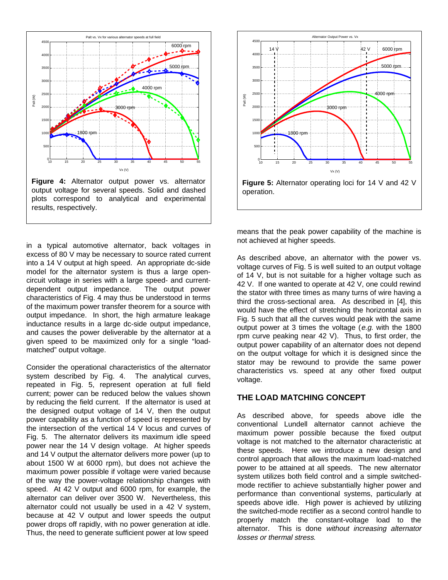

in a typical automotive alternator, back voltages in excess of 80 V may be necessary to source rated current into a 14 V output at high speed. An appropriate dc-side model for the alternator system is thus a large opencircuit voltage in series with a large speed- and currentdependent output impedance. The output power characteristics of Fig. 4 may thus be understood in terms of the maximum power transfer theorem for a source with output impedance. In short, the high armature leakage inductance results in a large dc-side output impedance, and causes the power deliverable by the alternator at a given speed to be maximized only for a single "loadmatched" output voltage.

Consider the operational characteristics of the alternator system described by Fig. 4. The analytical curves, repeated in Fig. 5, represent operation at full field current; power can be reduced below the values shown by reducing the field current. If the alternator is used at the designed output voltage of 14 V, then the output power capability as a function of speed is represented by the intersection of the vertical 14 V locus and curves of Fig. 5. The alternator delivers its maximum idle speed power near the 14 V design voltage. At higher speeds and 14 V output the alternator delivers more power (up to about 1500 W at 6000 rpm), but does not achieve the maximum power possible if voltage were varied because of the way the power-voltage relationship changes with speed. At 42 V output and 6000 rpm, for example, the alternator can deliver over 3500 W. Nevertheless, this alternator could not usually be used in a 42 V system, because at 42 V output and lower speeds the output power drops off rapidly, with no power generation at idle. Thus, the need to generate sufficient power at low speed



means that the peak power capability of the machine is not achieved at higher speeds.

As described above, an alternator with the power vs. voltage curves of Fig. 5 is well suited to an output voltage of 14 V, but is not suitable for a higher voltage such as 42 V. If one wanted to operate at 42 V, one could rewind the stator with three times as many turns of wire having a third the cross-sectional area. As described in [4], this would have the effect of stretching the horizontal axis in Fig. 5 such that all the curves would peak with the same output power at 3 times the voltage (e.g. with the 1800 rpm curve peaking near 42 V). Thus, to first order, the output power capability of an alternator does not depend on the output voltage for which it is designed since the stator may be rewound to provide the same power characteristics vs. speed at any other fixed output voltage.

# **THE LOAD MATCHING CONCEPT**

As described above, for speeds above idle the conventional Lundell alternator cannot achieve the maximum power possible because the fixed output voltage is not matched to the alternator characteristic at these speeds. Here we introduce a new design and control approach that allows the maximum load-matched power to be attained at all speeds. The new alternator system utilizes both field control and a simple switchedmode rectifier to achieve substantially higher power and performance than conventional systems, particularly at speeds above idle. High power is achieved by utilizing the switched-mode rectifier as a second control handle to properly match the constant-voltage load to the alternator. This is done without increasing alternator losses or thermal stress.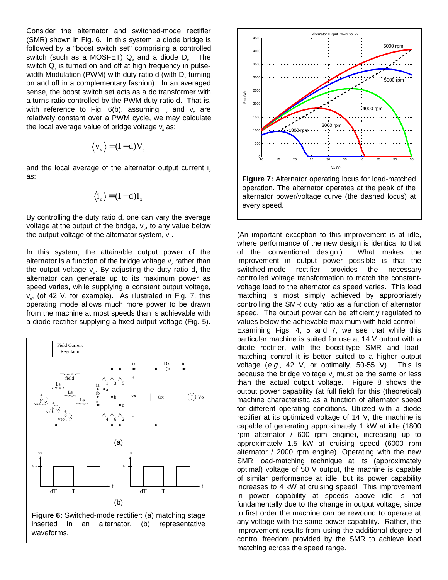Consider the alternator and switched-mode rectifier (SMR) shown in Fig. 6. In this system, a diode bridge is followed by a "boost switch set" comprising a controlled switch (such as a MOSFET)  $Q<sub>x</sub>$  and a diode  $D<sub>x</sub>$ . The switch  $\mathsf{Q}_\mathsf{x}$  is turned on and off at high frequency in pulsewidth Modulation (PWM) with duty ratio d (with  $D_x$  turning on and off in a complementary fashion). In an averaged sense, the boost switch set acts as a dc transformer with a turns ratio controlled by the PWM duty ratio d. That is, with reference to Fig.  $6(b)$ , assuming i and  $v_a$  are relatively constant over a PWM cycle, we may calculate the local average value of bridge voltage  $\mathsf{v}_{\mathsf{x}}$  as:

$$
\langle v_{x} \rangle = (1 - d) V_{o}
$$

and the local average of the alternator output current  $i_{0}$ as:

$$
\langle i_{\circ} \rangle = (1 - d) I_{x}
$$

By controlling the duty ratio d, one can vary the average voltage at the output of the bridge,  $v<sub>x</sub>$ , to any value below the output voltage of the alternator system,  $v_{\alpha}$ .

In this system, the attainable output power of the alternator is a function of the bridge voltage  $v<sub>x</sub>$  rather than the output voltage  $v_a$ . By adjusting the duty ratio d, the alternator can generate up to its maximum power as speed varies, while supplying a constant output voltage,  $v_{\alpha}$ , (of 42 V, for example). As illustrated in Fig. 7, this operating mode allows much more power to be drawn from the machine at most speeds than is achievable with a diode rectifier supplying a fixed output voltage (Fig. 5).







**Figure 7:** Alternator operating locus for load-matched operation. The alternator operates at the peak of the alternator power/voltage curve (the dashed locus) at every speed.

(An important exception to this improvement is at idle, where performance of the new design is identical to that of the conventional design.) What makes the improvement in output power possible is that the switched-mode rectifier provides the necessary controlled voltage transformation to match the constantvoltage load to the alternator as speed varies. This load matching is most simply achieved by appropriately controlling the SMR duty ratio as a function of alternator speed. The output power can be efficiently regulated to values below the achievable maximum with field control. Examining Figs. 4, 5 and 7, we see that while this particular machine is suited for use at 14 V output with a diode rectifier, with the boost-type SMR and loadmatching control it is better suited to a higher output voltage  $(e.g., 42 \text{ V}, \text{ or optimally}, 50-55 \text{ V}).$  This is because the bridge voltage  $v<sub>x</sub>$  must be the same or less than the actual output voltage. Figure 8 shows the output power capability (at full field) for this (theoretical) machine characteristic as a function of alternator speed for different operating conditions. Utilized with a diode rectifier at its optimized voltage of 14 V, the machine is capable of generating approximately 1 kW at idle (1800 rpm alternator / 600 rpm engine), increasing up to approximately 1.5 kW at cruising speed (6000 rpm alternator / 2000 rpm engine). Operating with the new SMR load-matching technique at its (approximately optimal) voltage of 50 V output, the machine is capable of similar performance at idle, but its power capability increases to 4 kW at cruising speed! This improvement in power capability at speeds above idle is not fundamentally due to the change in output voltage, since to first order the machine can be rewound to operate at any voltage with the same power capability. Rather, the improvement results from using the additional degree of control freedom provided by the SMR to achieve load matching across the speed range.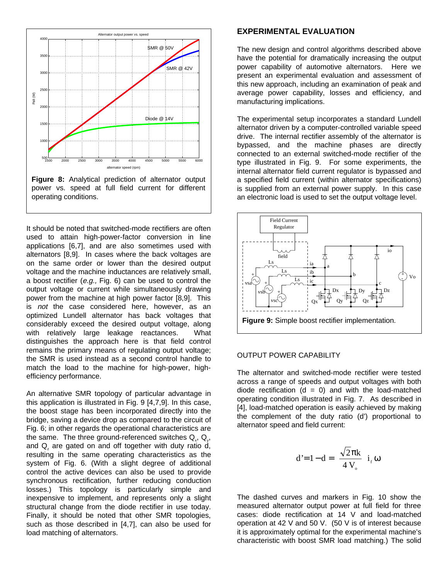

It should be noted that switched-mode rectifiers are often used to attain high-power-factor conversion in line applications [6,7], and are also sometimes used with alternators [8,9]. In cases where the back voltages are on the same order or lower than the desired output voltage and the machine inductances are relatively small, a boost rectifier (e.g., Fig. 6) can be used to control the output voltage or current while simultaneously drawing power from the machine at high power factor [8,9]. This is not the case considered here, however, as an optimized Lundell alternator has back voltages that considerably exceed the desired output voltage, along with relatively large leakage reactances. What distinguishes the approach here is that field control remains the primary means of regulating output voltage; the SMR is used instead as a second control handle to match the load to the machine for high-power, highefficiency performance.

An alternative SMR topology of particular advantage in this application is illustrated in Fig. 9 [4,7,9]. In this case, the boost stage has been incorporated directly into the bridge, saving a device drop as compared to the circuit of Fig. 6; in other regards the operational characteristics are the same. The three ground-referenced switches  $Q_{y}$ ,  $Q_{y}$ , and  $\mathsf{Q}_z$  are gated on and off together with duty ratio d, resulting in the same operating characteristics as the system of Fig. 6. (With a slight degree of additional control the active devices can also be used to provide synchronous rectification, further reducing conduction losses.) This topology is particularly simple and inexpensive to implement, and represents only a slight structural change from the diode rectifier in use today. Finally, it should be noted that other SMR topologies, such as those described in [4,7], can also be used for load matching of alternators.

#### **EXPERIMENTAL EVALUATION**

The new design and control algorithms described above have the potential for dramatically increasing the output power capability of automotive alternators. Here we present an experimental evaluation and assessment of this new approach, including an examination of peak and average power capability, losses and efficiency, and manufacturing implications.

The experimental setup incorporates a standard Lundell alternator driven by a computer-controlled variable speed drive. The internal rectifier assembly of the alternator is bypassed, and the machine phases are directly connected to an external switched-mode rectifier of the type illustrated in Fig. 9. For some experiments, the internal alternator field current regulator is bypassed and a specified field current (within alternator specifications) is supplied from an external power supply. In this case an electronic load is used to set the output voltage level.



# OUTPUT POWER CAPABILITY

The alternator and switched-mode rectifier were tested across a range of speeds and output voltages with both diode rectification  $(d = 0)$  and with the load-matched operating condition illustrated in Fig. 7. As described in [4], load-matched operation is easily achieved by making the complement of the duty ratio (d') proportional to alternator speed and field current:

$$
d'=1-d=\left(\frac{\sqrt{2}\pi k}{4\,V_{\circ}}\right)i_{f}\,\omega
$$

The dashed curves and markers in Fig. 10 show the measured alternator output power at full field for three cases: diode rectification at 14 V and load-matched operation at 42 V and 50 V. (50 V is of interest because it is approximately optimal for the experimental machine's characteristic with boost SMR load matching.) The solid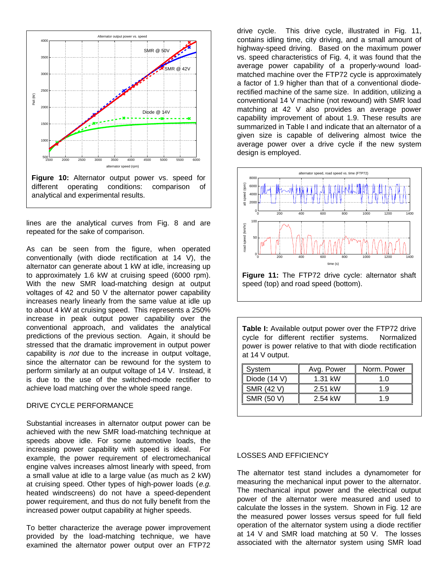

lines are the analytical curves from Fig. 8 and are repeated for the sake of comparison.

As can be seen from the figure, when operated conventionally (with diode rectification at 14 V), the alternator can generate about 1 kW at idle, increasing up to approximately 1.6 kW at cruising speed (6000 rpm). With the new SMR load-matching design at output voltages of 42 and 50 V the alternator power capability increases nearly linearly from the same value at idle up to about 4 kW at cruising speed. This represents a 250% increase in peak output power capability over the conventional approach, and validates the analytical predictions of the previous section. Again, it should be stressed that the dramatic improvement in output power capability is not due to the increase in output voltage, since the alternator can be rewound for the system to perform similarly at an output voltage of 14 V. Instead, it is due to the use of the switched-mode rectifier to achieve load matching over the whole speed range.

#### DRIVE CYCLE PERFORMANCE

Substantial increases in alternator output power can be achieved with the new SMR load-matching technique at speeds above idle. For some automotive loads, the increasing power capability with speed is ideal. For example, the power requirement of electromechanical engine valves increases almost linearly with speed, from a small value at idle to a large value (as much as 2 kW) at cruising speed. Other types of high-power loads (e.g. heated windscreens) do not have a speed-dependent power requirement, and thus do not fully benefit from the increased power output capability at higher speeds.

To better characterize the average power improvement provided by the load-matching technique, we have examined the alternator power output over an FTP72

drive cycle. This drive cycle, illustrated in Fig. 11, contains idling time, city driving, and a small amount of highway-speed driving. Based on the maximum power vs. speed characteristics of Fig. 4, it was found that the average power capability of a properly-wound loadmatched machine over the FTP72 cycle is approximately a factor of 1.9 higher than that of a conventional dioderectified machine of the same size. In addition, utilizing a conventional 14 V machine (not rewound) with SMR load matching at 42 V also provides an average power capability improvement of about 1.9. These results are summarized in Table I and indicate that an alternator of a given size is capable of delivering almost twice the average power over a drive cycle if the new system design is employed.



**Figure 11:** The FTP72 drive cycle: alternator shaft speed (top) and road speed (bottom).

**Table I:** Available output power over the FTP72 drive cycle for different rectifier systems. Normalized power is power relative to that with diode rectification at 14 V output.

| System         | Avg. Power | Norm. Power |
|----------------|------------|-------------|
| Diode $(14 V)$ | 1.31 kW    | 1 ∩         |
| SMR (42 V)     | 2.51 kW    | 1.9         |
| SMR (50 V)     | 2.54 kW    | 1 ዓ         |
|                |            |             |

# LOSSES AND EFFICIENCY

The alternator test stand includes a dynamometer for measuring the mechanical input power to the alternator. The mechanical input power and the electrical output power of the alternator were measured and used to calculate the losses in the system. Shown in Fig. 12 are the measured power losses versus speed for full field operation of the alternator system using a diode rectifier at 14 V and SMR load matching at 50 V. The losses associated with the alternator system using SMR load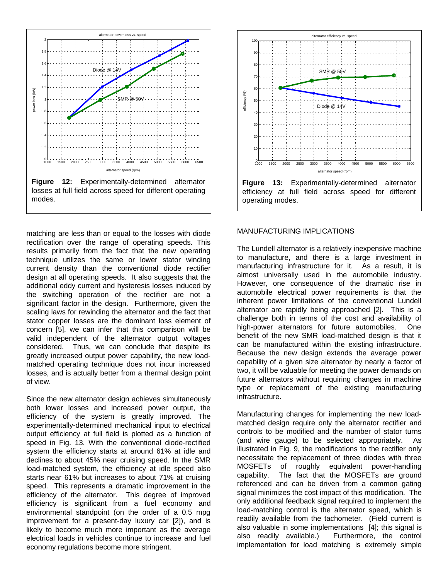

matching are less than or equal to the losses with diode rectification over the range of operating speeds. This results primarily from the fact that the new operating technique utilizes the same or lower stator winding current density than the conventional diode rectifier design at all operating speeds. It also suggests that the additional eddy current and hysteresis losses induced by the switching operation of the rectifier are not a significant factor in the design. Furthermore, given the scaling laws for rewinding the alternator and the fact that stator copper losses are the dominant loss element of concern [5], we can infer that this comparison will be valid independent of the alternator output voltages considered. Thus, we can conclude that despite its greatly increased output power capability, the new loadmatched operating technique does not incur increased losses, and is actually better from a thermal design point of view.

Since the new alternator design achieves simultaneously both lower losses and increased power output, the efficiency of the system is greatly improved. The experimentally-determined mechanical input to electrical output efficiency at full field is plotted as a function of speed in Fig. 13. With the conventional diode-rectified system the efficiency starts at around 61% at idle and declines to about 45% near cruising speed. In the SMR load-matched system, the efficiency at idle speed also starts near 61% but increases to about 71% at cruising speed. This represents a dramatic improvement in the efficiency of the alternator. This degree of improved efficiency is significant from a fuel economy and environmental standpoint (on the order of a 0.5 mpg improvement for a present-day luxury car [2]), and is likely to become much more important as the average electrical loads in vehicles continue to increase and fuel economy regulations become more stringent.



#### MANUFACTURING IMPLICATIONS

The Lundell alternator is a relatively inexpensive machine to manufacture, and there is a large investment in manufacturing infrastructure for it. As a result, it is almost universally used in the automobile industry. However, one consequence of the dramatic rise in automobile electrical power requirements is that the inherent power limitations of the conventional Lundell alternator are rapidly being approached [2]. This is a challenge both in terms of the cost and availability of high-power alternators for future automobiles. One benefit of the new SMR load-matched design is that it can be manufactured within the existing infrastructure. Because the new design extends the average power capability of a given size alternator by nearly a factor of two, it will be valuable for meeting the power demands on future alternators without requiring changes in machine type or replacement of the existing manufacturing infrastructure.

Manufacturing changes for implementing the new loadmatched design require only the alternator rectifier and controls to be modified and the number of stator turns (and wire gauge) to be selected appropriately. As illustrated in Fig. 9, the modifications to the rectifier only necessitate the replacement of three diodes with three MOSFETs of roughly equivalent power-handling capability. The fact that the MOSFETs are ground referenced and can be driven from a common gating signal minimizes the cost impact of this modification. The only additional feedback signal required to implement the load-matching control is the alternator speed, which is readily available from the tachometer. (Field current is also valuable in some implementations [4]; this signal is also readily available.) Furthermore, the control implementation for load matching is extremely simple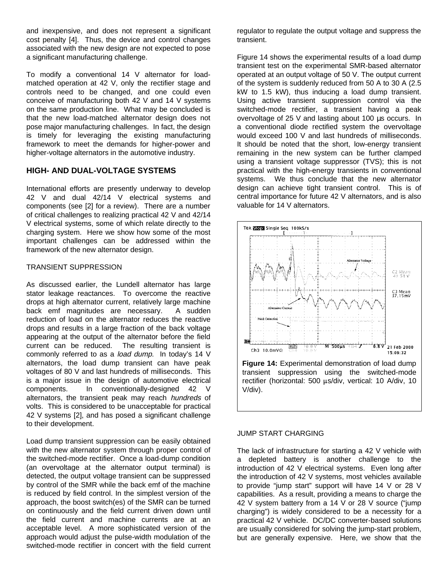and inexpensive, and does not represent a significant cost penalty [4]. Thus, the device and control changes associated with the new design are not expected to pose a significant manufacturing challenge.

To modify a conventional 14 V alternator for loadmatched operation at 42 V, only the rectifier stage and controls need to be changed, and one could even conceive of manufacturing both 42 V and 14 V systems on the same production line. What may be concluded is that the new load-matched alternator design does not pose major manufacturing challenges. In fact, the design is timely for leveraging the existing manufacturing framework to meet the demands for higher-power and higher-voltage alternators in the automotive industry.

# **HIGH- AND DUAL-VOLTAGE SYSTEMS**

International efforts are presently underway to develop 42 V and dual 42/14 V electrical systems and components (see [2] for a review). There are a number of critical challenges to realizing practical 42 V and 42/14 V electrical systems, some of which relate directly to the charging system. Here we show how some of the most important challenges can be addressed within the framework of the new alternator design.

# TRANSIENT SUPPRESSION

As discussed earlier, the Lundell alternator has large stator leakage reactances. To overcome the reactive drops at high alternator current, relatively large machine back emf magnitudes are necessary. A sudden reduction of load on the alternator reduces the reactive drops and results in a large fraction of the back voltage appearing at the output of the alternator before the field current can be reduced. The resulting transient is commonly referred to as a load dump. In today's 14 V alternators, the load dump transient can have peak voltages of 80 V and last hundreds of milliseconds. This is a major issue in the design of automotive electrical components. In conventionally-designed 42 V alternators, the transient peak may reach hundreds of volts. This is considered to be unacceptable for practical 42 V systems [2], and has posed a significant challenge to their development.

Load dump transient suppression can be easily obtained with the new alternator system through proper control of the switched-mode rectifier. Once a load-dump condition (an overvoltage at the alternator output terminal) is detected, the output voltage transient can be suppressed by control of the SMR while the back emf of the machine is reduced by field control. In the simplest version of the approach, the boost switch(es) of the SMR can be turned on continuously and the field current driven down until the field current and machine currents are at an acceptable level. A more sophisticated version of the approach would adjust the pulse-width modulation of the switched-mode rectifier in concert with the field current

regulator to regulate the output voltage and suppress the transient.

Figure 14 shows the experimental results of a load dump transient test on the experimental SMR-based alternator operated at an output voltage of 50 V. The output current of the system is suddenly reduced from 50 A to 30 A (2.5 kW to 1.5 kW), thus inducing a load dump transient. Using active transient suppression control via the switched-mode rectifier, a transient having a peak overvoltage of 25 V and lasting about 100 µs occurs. In a conventional diode rectified system the overvoltage would exceed 100 V and last hundreds of milliseconds. It should be noted that the short, low-energy transient remaining in the new system can be further clamped using a transient voltage suppressor (TVS); this is not practical with the high-energy transients in conventional systems. We thus conclude that the new alternator design can achieve tight transient control. This is of central importance for future 42 V alternators, and is also valuable for 14 V alternators.



### JUMP START CHARGING

The lack of infrastructure for starting a 42 V vehicle with a depleted battery is another challenge to the introduction of 42 V electrical systems. Even long after the introduction of 42 V systems, most vehicles available to provide "jump start" support will have 14 V or 28 V capabilities. As a result, providing a means to charge the 42 V system battery from a 14 V or 28 V source ("jump charging") is widely considered to be a necessity for a practical 42 V vehicle. DC/DC converter-based solutions are usually considered for solving the jump-start problem, but are generally expensive. Here, we show that the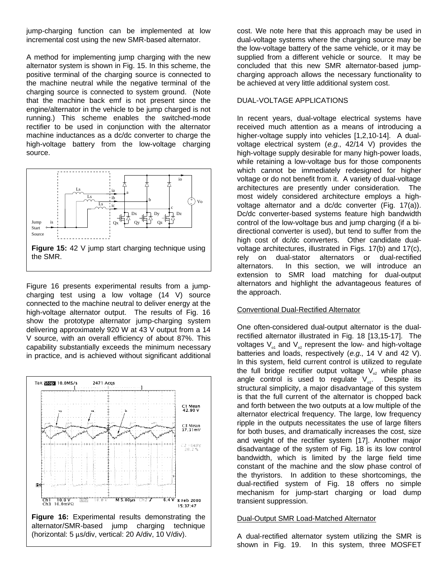jump-charging function can be implemented at low incremental cost using the new SMR-based alternator.

A method for implementing jump charging with the new alternator system is shown in Fig. 15. In this scheme, the positive terminal of the charging source is connected to the machine neutral while the negative terminal of the charging source is connected to system ground. (Note that the machine back emf is not present since the engine/alternator in the vehicle to be jump charged is not running.) This scheme enables the switched-mode rectifier to be used in conjunction with the alternator machine inductances as a dc/dc converter to charge the high-voltage battery from the low-voltage charging source.



Figure 16 presents experimental results from a jumpcharging test using a low voltage (14 V) source connected to the machine neutral to deliver energy at the high-voltage alternator output. The results of Fig. 16 show the prototype alternator jump-charging system delivering approximately 920 W at 43 V output from a 14 V source, with an overall efficiency of about 87%. This capability substantially exceeds the minimum necessary in practice, and is achieved without significant additional



cost. We note here that this approach may be used in dual-voltage systems where the charging source may be the low-voltage battery of the same vehicle, or it may be supplied from a different vehicle or source. It may be concluded that this new SMR alternator-based jumpcharging approach allows the necessary functionality to be achieved at very little additional system cost.

### DUAL-VOLTAGE APPLICATIONS

In recent years, dual-voltage electrical systems have received much attention as a means of introducing a higher-voltage supply into vehicles [1,2,10-14]. A dualvoltage electrical system  $(e.g., 42/14 V)$  provides the high-voltage supply desirable for many high-power loads, while retaining a low-voltage bus for those components which cannot be immediately redesigned for higher voltage or do not benefit from it. A variety of dual-voltage architectures are presently under consideration. The most widely considered architecture employs a highvoltage alternator and a dc/dc converter (Fig. 17(a)). Dc/dc converter-based systems feature high bandwidth control of the low-voltage bus and jump charging (if a bidirectional converter is used), but tend to suffer from the high cost of dc/dc converters. Other candidate dualvoltage architectures, illustrated in Figs. 17(b) and 17(c), rely on dual-stator alternators or dual-rectified alternators. In this section, we will introduce an extension to SMR load matching for dual-output alternators and highlight the advantageous features of the approach.

### Conventional Dual-Rectified Alternator

One often-considered dual-output alternator is the dualrectified alternator illustrated in Fig. 18 [13,15-17]. The voltages  $V_{01}$  and  $V_{02}$  represent the low- and high-voltage batteries and loads, respectively (e.g., 14 V and 42 V). In this system, field current control is utilized to regulate the full bridge rectifier output voltage  $V_{\infty}$  while phase angle control is used to regulate  $V_{\text{off}}$ . Despite its structural simplicity, a major disadvantage of this system is that the full current of the alternator is chopped back and forth between the two outputs at a low multiple of the alternator electrical frequency. The large, low frequency ripple in the outputs necessitates the use of large filters for both buses, and dramatically increases the cost, size and weight of the rectifier system [17]. Another major disadvantage of the system of Fig. 18 is its low control bandwidth, which is limited by the large field time constant of the machine and the slow phase control of the thyristors. In addition to these shortcomings, the dual-rectified system of Fig. 18 offers no simple mechanism for jump-start charging or load dump transient suppression.

### Dual-Output SMR Load-Matched Alternator

A dual-rectified alternator system utilizing the SMR is shown in Fig. 19. In this system, three MOSFET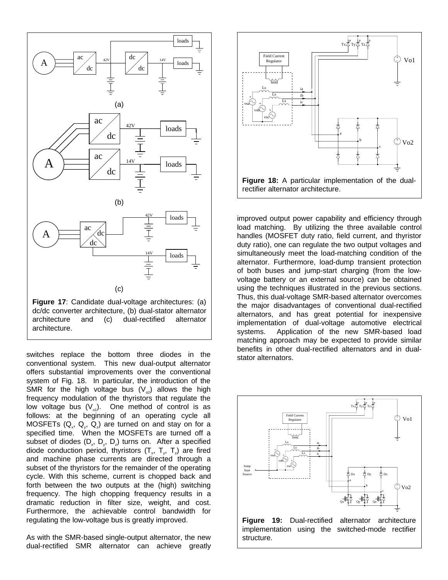

dc/dc converter architecture, (b) dual-stator alternator architecture and (c) dual-rectified alternator architecture.

switches replace the bottom three diodes in the conventional system. This new dual-output alternator offers substantial improvements over the conventional system of Fig. 18. In particular, the introduction of the SMR for the high voltage bus  $(V_{\alpha})$  allows the high frequency modulation of the thyristors that regulate the low voltage bus  $(V_{01})$ . One method of control is as follows: at the beginning of an operating cycle all MOSFETs  $(Q_x, Q_y, Q_z)$  are turned on and stay on for a specified time. When the MOSFETs are turned off a subset of diodes  $(D_x, D_y, D_z)$  turns on. After a specified diode conduction period, thyristors  $(\mathsf{T}_{\mathsf{x}},\ \mathsf{T}_{\mathsf{y}},\ \mathsf{T}_{\mathsf{z}})$  are fired and machine phase currents are directed through a subset of the thyristors for the remainder of the operating cycle. With this scheme, current is chopped back and forth between the two outputs at the (high) switching frequency. The high chopping frequency results in a dramatic reduction in filter size, weight, and cost. Furthermore, the achievable control bandwidth for regulating the low-voltage bus is greatly improved.

As with the SMR-based single-output alternator, the new dual-rectified SMR alternator can achieve greatly



improved output power capability and efficiency through load matching. By utilizing the three available control handles (MOSFET duty ratio, field current, and thyristor duty ratio), one can regulate the two output voltages and simultaneously meet the load-matching condition of the alternator. Furthermore, load-dump transient protection of both buses and jump-start charging (from the lowvoltage battery or an external source) can be obtained using the techniques illustrated in the previous sections. Thus, this dual-voltage SMR-based alternator overcomes the major disadvantages of conventional dual-rectified alternators, and has great potential for inexpensive implementation of dual-voltage automotive electrical systems. Application of the new SMR-based load matching approach may be expected to provide similar benefits in other dual-rectified alternators and in dualstator alternators.



**Figure 19:** Dual-rectified alternator architecture implementation using the switched-mode rectifier structure.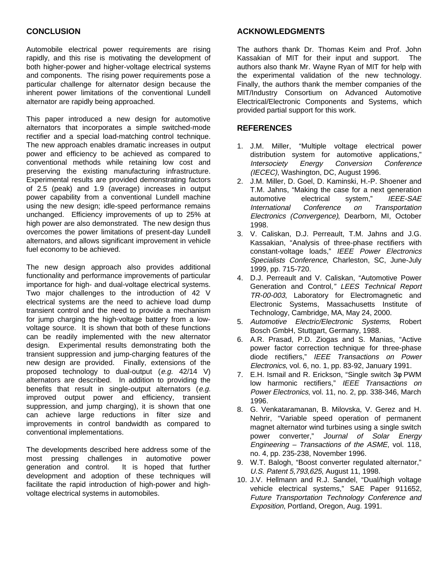# **CONCLUSION**

Automobile electrical power requirements are rising rapidly, and this rise is motivating the development of both higher-power and higher-voltage electrical systems and components. The rising power requirements pose a particular challenge for alternator design because the inherent power limitations of the conventional Lundell alternator are rapidly being approached.

This paper introduced a new design for automotive alternators that incorporates a simple switched-mode rectifier and a special load-matching control technique. The new approach enables dramatic increases in output power and efficiency to be achieved as compared to conventional methods while retaining low cost and preserving the existing manufacturing infrastructure. Experimental results are provided demonstrating factors of 2.5 (peak) and 1.9 (average) increases in output power capability from a conventional Lundell machine using the new design; idle-speed performance remains unchanged. Efficiency improvements of up to 25% at high power are also demonstrated. The new design thus overcomes the power limitations of present-day Lundell alternators, and allows significant improvement in vehicle fuel economy to be achieved.

The new design approach also provides additional functionality and performance improvements of particular importance for high- and dual-voltage electrical systems. Two major challenges to the introduction of 42 V electrical systems are the need to achieve load dump transient control and the need to provide a mechanism for jump charging the high-voltage battery from a lowvoltage source. It is shown that both of these functions can be readily implemented with the new alternator design. Experimental results demonstrating both the transient suppression and jump-charging features of the new design are provided. Finally, extensions of the proposed technology to dual-output (e.g. 42/14 V) alternators are described. In addition to providing the benefits that result in single-output alternators (e.g. improved output power and efficiency, transient suppression, and jump charging), it is shown that one can achieve large reductions in filter size and improvements in control bandwidth as compared to conventional implementations.

The developments described here address some of the most pressing challenges in automotive power generation and control. It is hoped that further development and adoption of these techniques will facilitate the rapid introduction of high-power and highvoltage electrical systems in automobiles.

# **ACKNOWLEDGMENTS**

The authors thank Dr. Thomas Keim and Prof. John Kassakian of MIT for their input and support. The authors also thank Mr. Wayne Ryan of MIT for help with the experimental validation of the new technology. Finally, the authors thank the member companies of the MIT/Industry Consortium on Advanced Automotive Electrical/Electronic Components and Systems, which provided partial support for this work.

# **REFERENCES**

- 1. J.M. Miller, "Multiple voltage electrical power distribution system for automotive applications," Intersociety Energy Conversion Conference (IECEC), Washington, DC, August 1996.
- 2. J.M. Miller, D. Goel, D. Kaminski, H.-P. Shoener and T.M. Jahns, "Making the case for a next generation automotive electrical system," IEEE-SAE International Conference on Transportation Electronics (Convergence), Dearborn, MI, October 1998.
- 3. V. Caliskan, D.J. Perreault, T.M. Jahns and J.G. Kassakian, "Analysis of three-phase rectifiers with constant-voltage loads," IEEE Power Electronics Specialists Conference, Charleston, SC, June-July 1999, pp. 715-720.
- 4. D.J. Perreault and V. Caliskan, "Automotive Power Generation and Control," LEES Technical Report TR-00-003, Laboratory for Electromagnetic and Electronic Systems, Massachusetts Institute of Technology, Cambridge, MA, May 24, 2000.
- 5. Automotive Electric/Electronic Systems, Robert Bosch GmbH, Stuttgart, Germany, 1988.
- 6. A.R. Prasad, P.D. Ziogas and S. Manias, "Active power factor correction technique for three-phase diode rectifiers," IEEE Transactions on Power Electronics, vol. 6, no. 1, pp. 83-92, January 1991.
- 7. E.H. Ismail and R. Erickson, "Single switch 3φ PWM low harmonic rectifiers," IEEE Transactions on Power Electronics, vol. 11, no. 2, pp. 338-346, March 1996.
- 8. G. Venkataramanan, B. Milovska, V. Gerez and H. Nehrir, "Variable speed operation of permanent magnet alternator wind turbines using a single switch power converter," Journal of Solar Energy Engineering – Transactions of the ASME, vol. 118, no. 4, pp. 235-238, November 1996.
- 9. W.T. Balogh, "Boost converter regulated alternator," U.S. Patent 5,793,625, August 11, 1998.
- 10. J.V. Hellmann and R.J. Sandel, "Dual/high voltage vehicle electrical systems," SAE Paper 911652, Future Transportation Technology Conference and Exposition, Portland, Oregon, Aug. 1991.